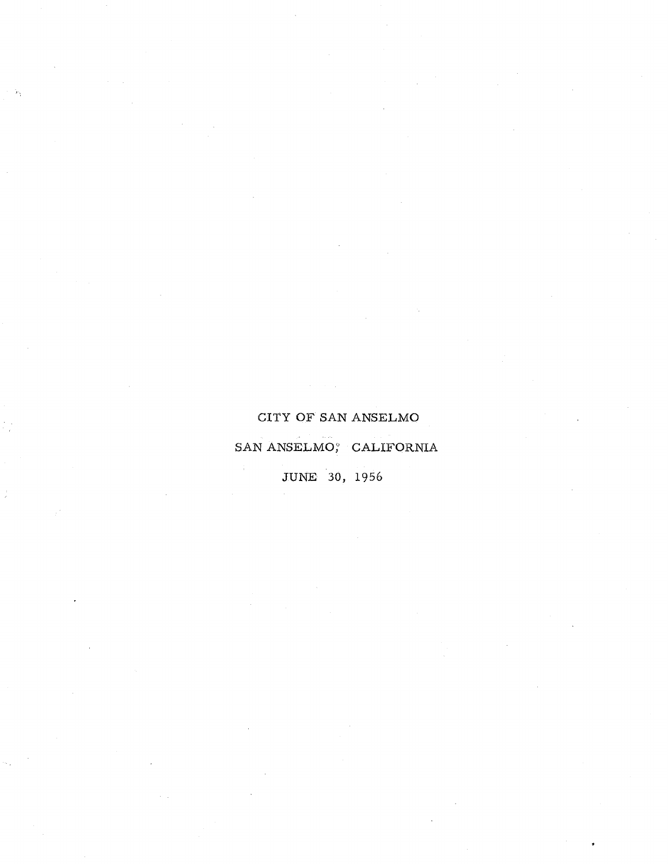# CITY OF SAN ANSELMO

SAN ANSELMO; CALIFORNIA

**JUNE** 30, 1956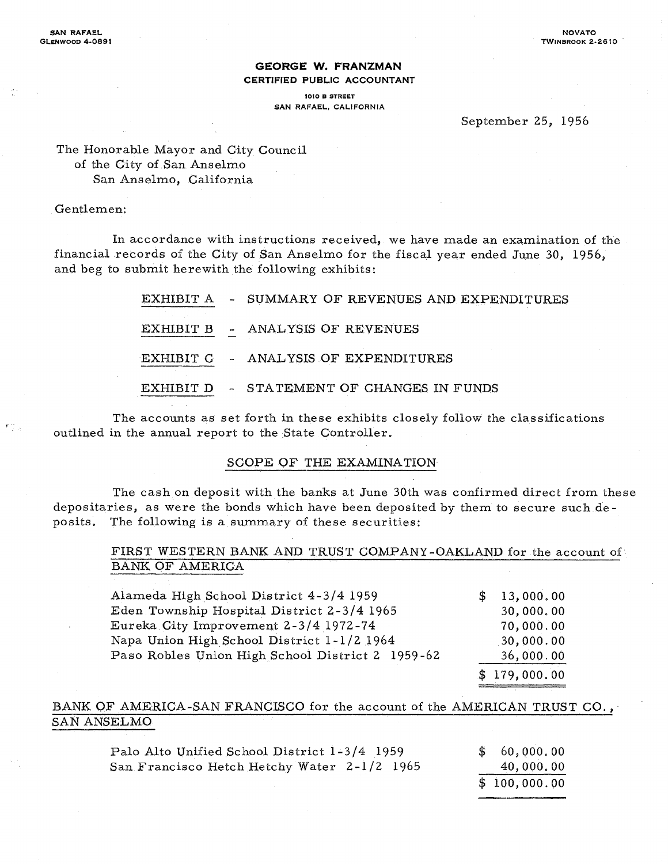#### **GEORGE W. FRANZMAN CERTIFIED PUBLIC ACCOUNTANT**

1010 B STREET SAN RAFAEL, CALIFORNIA

#### September 25, 1956

The Honorable Mayor and City Council of the City of San Anselmo San Anselmo, California

#### Gentlemen:

In accordance with instructions received, we have made an examination of the financial records of the City of San Anselmo for the fiscal year ended June 30, 1956, and beg to submit herewith the following exhibits:

> EXHIBIT A - SUMMARY OF REVENUES AND EXPENDITURES EXHIBIT B - ANALYSIS OF REVENUES EXHIBIT C - ANALYSIS OF EXPENDITURES EXHIBIT D - STATEMENT OF CHANGES IN FUNDS

The accounts as set forth in these exhibits closely follow the classifications outlined in the annual report to the State Controller.

#### SOOPE OF THE EXAMINATION

The cash on deposit with the banks at June 30th was confirmed direct from these depositaries, as were the bonds which have been deposited by them to secure such deposits. The following is a summary of these securities:

#### FIRST WESTERN BANK AND TRUST COMPANY -OAKLAND for the account of BANK OF AMERICA

| Alameda High School District 4-3/4 1959          | \$13,000.00  |
|--------------------------------------------------|--------------|
| Eden Township Hospital District 2-3/4 1965       | 30,000.00    |
| Eureka City Improvement 2-3/4 1972-74            | 70,000.00    |
| Napa Union High School District 1-1/2 1964       | 30,000.00    |
| Paso Robles Union High School District 2 1959-62 | 36,000.00    |
|                                                  | \$179,000.00 |

#### BANK OF AMERICA-SAN FRANCISCO for the account of the AMERICAN TRUST CO., SAN ANSELMO

| Palo Alto Unified School District 1-3/4 1959 | \$60,000,00  |
|----------------------------------------------|--------------|
| San Francisco Hetch Hetchy Water 2-1/2 1965  | 40,000,00    |
|                                              | \$100,000.00 |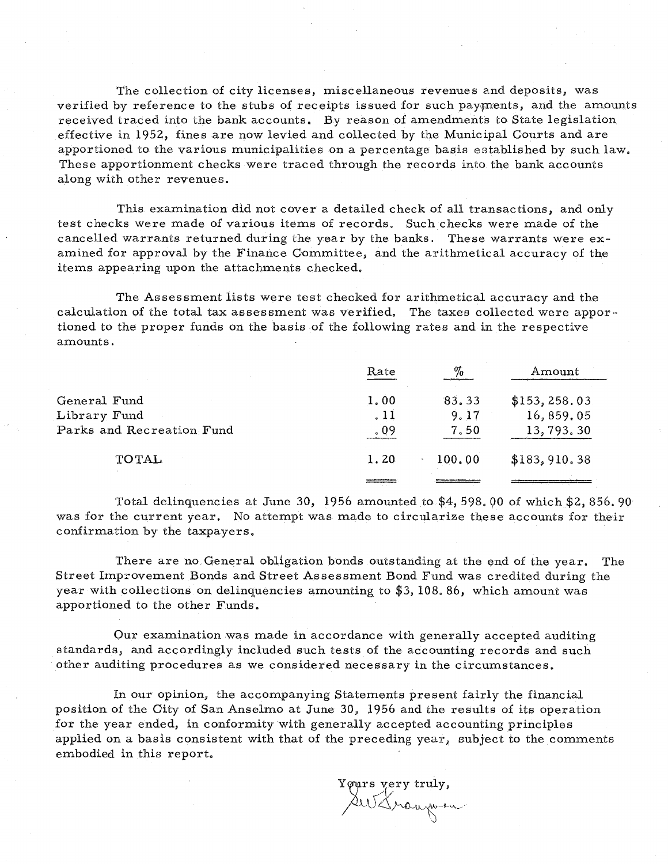The collection of city licenses, miscellaneous revenues and deposits, was verified by reference to the stubs of receipts issued for such payments, and the amounts received traced into the bank accounts. By reason of amendments to State legislation effective in 1952, fines are now levied and collected by the Municipal Courts and are apportioned to the various municipalities on a percentage basis established by such law. These apportionment checks were traced through the records into the bank accounts along with other revenues.

This examination did not cover a detailed check of all transactions, and only test checks were made of various items of records. Such checks were made of the cancelled warrants returned during the year by the banks. These warrants were examined for approval by the Finance Oommittee, and the arithmetical accuracy of the items appearing upon the attachments checked.

The Assessment lists were test checked for arithmetical accuracy and the calculation of the total tax assessment was verified. The taxes collected were apportioned to the proper funds on the basis of the following rates and in the respective amounts.

|                           | Rate | $\%$   | Amount         |
|---------------------------|------|--------|----------------|
| General Fund              | 1.00 | 83.33  | \$153, 258.03  |
| Library Fund              | .11  | 9.17   | 16,859.05      |
| Parks and Recreation Fund | . 09 | 7.50   | 13,793.30      |
| <b>TOTAL</b>              | 1.20 | 100.00 | \$183, 910, 38 |
|                           |      |        |                |

Total delinquencies at June 30, 1956 amounted to  $$4, 598.00$  of which  $$2, 856.90$ was for the current year. No attempt was made to circularize these accounts for their confirmation by the taxpayers.

There are no. General obligation bonds outstanding at the end of the year. The Street Improvement Bonds and Street Assessment Bond Fund was credited during the year with collections on delinquencies amounting to \$3, 108.86, which amount was apportioned to the other Funds.

Our examination was made in accordance with generally accepted auditing standards, and accordingly included such tests of the accounting records and such other auditing procedures as we considered necessary in the circumstances.

In our opinion, the accompanying Statements present fairly the financial position of the Oity of San Anselmo at June 30, 1956 and the results of its operation for the year ended, in conformity with generally accepted accounting principles applied on a basis consistent with that of the preceding year, subject to the comments embodied in this report.

Yours very truly,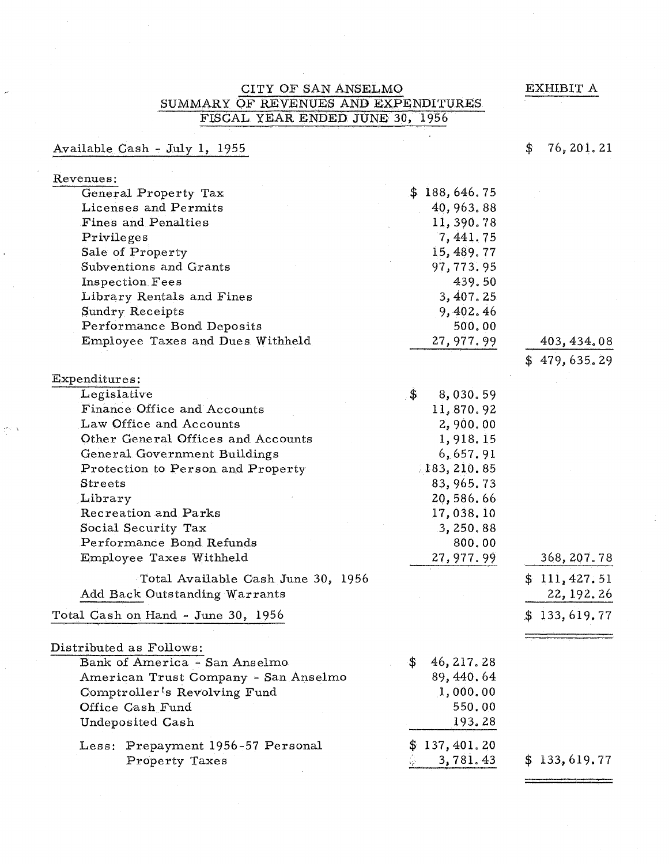EXHIBIT A

## CITY OF SAN ANSELMO SUMMARY OF REVENUES AND EXPENDITURES FISCAL YEAR ENDED JUNE 30, 1956

# Available Gash - July 1, 1955

 $\{ \sigma_{\alpha} \}_{\alpha \in \Delta}$ 

# \$ 76,201. 21

| Revenues:                                 |                  |              |
|-------------------------------------------|------------------|--------------|
| General Property Tax                      | \$188,646.75     |              |
| Licenses and Permits                      | 40, 963. 88      |              |
| Fines and Penalties                       | 11, 390.78       |              |
| Privileges                                | 7,441.75         |              |
| Sale of Property                          | 15, 489.77       |              |
| Subventions and Grants                    | 97,773.95        |              |
| Inspection Fees                           | 439.50           |              |
| Library Rentals and Fines                 | 3,407.25         |              |
| Sundry Receipts                           | 9,402.46         |              |
| Performance Bond Deposits                 | 500.00           |              |
| Employee Taxes and Dues Withheld          | 27, 977. 99      | 403, 434.08  |
|                                           |                  | \$479,635.29 |
| Expenditures:                             |                  |              |
| Legislative                               | \$.<br>8,030.59  |              |
| Finance Office and Accounts               | 11,870.92        |              |
| Law Office and Accounts                   | 2,900.00         |              |
| Other General Offices and Accounts        | 1,918.15         |              |
| General Government Buildings              | 6,657.91         |              |
| Protection to Person and Property         | 183, 210.85      |              |
| Streets                                   | 83, 965. 73      |              |
| Library                                   | 20,586.66        |              |
| Recreation and Parks                      | 17,038.10        |              |
| Social Security Tax                       | 3, 250, 88       |              |
| Performance Bond Refunds                  | 800.00           |              |
| Employee Taxes Withheld                   | 27, 977. 99      | 368, 207.78  |
| Total Available Cash June 30, 1956        |                  | \$111,427.51 |
| Add Back Outstanding Warrants             |                  | 22, 192. 26  |
| Total Cash on Hand - June 30, 1956        |                  | \$133,619.77 |
|                                           |                  |              |
| Distributed as Follows:                   |                  |              |
| Bank of America - San Anselmo             | 46, 217.28<br>\$ |              |
| American Trust Company - San Anselmo      | 89, 440.64       |              |
| Comptroller <sup>t</sup> s Revolving Fund | 1,000.00         |              |
| Office Cash Fund                          | 550.00           |              |
| Undeposited Cash                          | 193.28           |              |
| Prepayment 1956-57 Personal<br>Less:      | 137, 401.20      |              |
| Property Taxes                            | 3,781.43         | \$133,619,77 |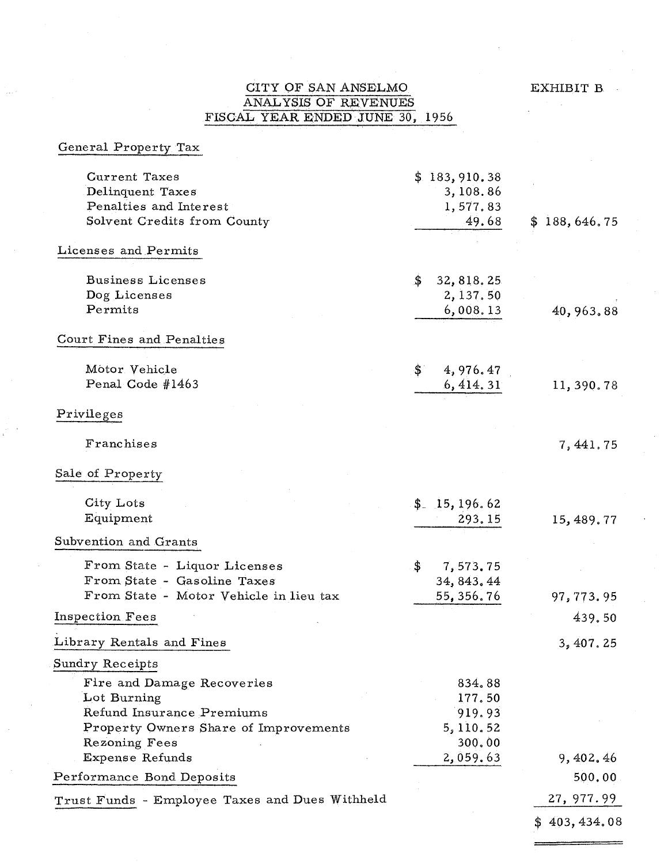EXHIBIT B

## CITY OF SAN ANSELMO ANALYSIS OF REVENUES FISCAL YEAR ENDED JUNE 30, 1956

| General Property Tax                                                                                                             |                                                   |                     |
|----------------------------------------------------------------------------------------------------------------------------------|---------------------------------------------------|---------------------|
| <b>Current Taxes</b><br>Delinquent Taxes<br>Penalties and Interest                                                               | \$183,910.38<br>3,108.86<br>1,577.83              |                     |
| Solvent Credits from County                                                                                                      | 49.68                                             | \$188,646.75        |
| Licenses and Permits                                                                                                             |                                                   |                     |
| <b>Business Licenses</b><br>Dog Licenses<br>Permits                                                                              | \$<br>32, 818.25<br>2,137.50<br>6,008.13          | 40,963.88           |
| Court Fines and Penalties                                                                                                        |                                                   |                     |
| Motor Vehicle<br>Penal Code #1463                                                                                                | \$.<br>4,976.47<br>6, 414, 31                     | 11,390.78           |
| Privileges                                                                                                                       |                                                   |                     |
| Franchises                                                                                                                       |                                                   | 7,441.75            |
| Sale of Property                                                                                                                 |                                                   |                     |
| City Lots<br>Equipment                                                                                                           | \$15, 196.62<br>293.15                            | 15, 489.77          |
| Subvention and Grants                                                                                                            |                                                   |                     |
| From State - Liquor Licenses<br>From State - Gasoline Taxes<br>From State - Motor Vehicle in lieu tax                            | \$<br>7,573.75<br>34, 843, 44<br>55, 356.76       | 97,773.95           |
| Inspection Fees                                                                                                                  |                                                   | 439.50              |
| Library Rentals and Fines                                                                                                        |                                                   | 3,407,25            |
| Sundry Receipts                                                                                                                  |                                                   |                     |
| Fire and Damage Recoveries<br>Lot Burning<br>Refund Insurance Premiums<br>Property Owners Share of Improvements<br>Rezoning Fees | 834.88<br>177.50<br>919.93<br>5, 110.52<br>300.00 |                     |
| Expense Refunds<br>Performance Bond Deposits                                                                                     | 2,059.63                                          | 9, 402.46<br>500.00 |
| Trust Funds - Employee Taxes and Dues Withheld                                                                                   |                                                   | 27, 977.99          |
|                                                                                                                                  |                                                   | \$403,434.08        |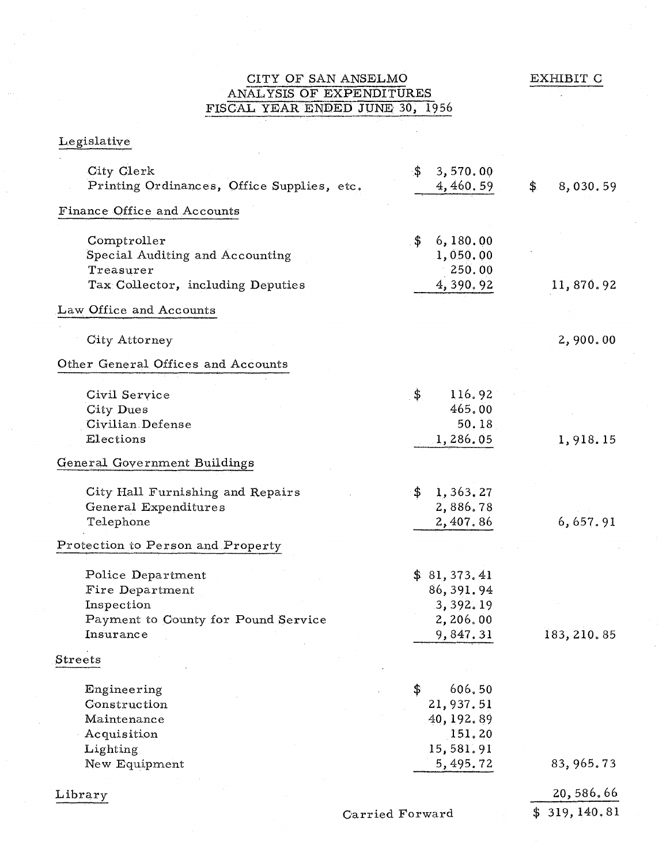EXHIBIT C ÷

## CITY OF SAN ANSELMO ANAL YSIS OF EXPENDITURES FISCAL YEAR ENDED JUNE 30, 1956

# Legislative

| Finance Office and Accounts<br>\$<br>Comptroller<br>6,180.00<br>Special Auditing and Accounting<br>1,050.00<br>Treasurer<br>250.00<br>4,390.92<br>Tax Collector, including Deputies<br>11,870.92<br>Law Office and Accounts<br>City Attorney<br>2,900.00<br>Other General Offices and Accounts<br>\$<br>116.92<br>Civil Service<br>465,00<br>City Dues<br>50.18<br>Civilian Defense<br>Elections<br>1,286.05<br>1,918.15<br>General Government Buildings<br>1,363.27<br>City Hall Furnishing and Repairs<br>\$<br>2,886.78<br>General Expenditures<br>6,657.91<br>Telephone<br>2,407.86<br>Protection to Person and Property<br>\$81,373,41<br>Police Department<br>86, 391.94<br>Fire Department<br>3,392.19<br>Inspection<br>Payment to County for Pound Service<br>2,206.00<br>Insurance<br>9,847.31<br>183, 210.85 |  |
|------------------------------------------------------------------------------------------------------------------------------------------------------------------------------------------------------------------------------------------------------------------------------------------------------------------------------------------------------------------------------------------------------------------------------------------------------------------------------------------------------------------------------------------------------------------------------------------------------------------------------------------------------------------------------------------------------------------------------------------------------------------------------------------------------------------------|--|
|                                                                                                                                                                                                                                                                                                                                                                                                                                                                                                                                                                                                                                                                                                                                                                                                                        |  |
|                                                                                                                                                                                                                                                                                                                                                                                                                                                                                                                                                                                                                                                                                                                                                                                                                        |  |
|                                                                                                                                                                                                                                                                                                                                                                                                                                                                                                                                                                                                                                                                                                                                                                                                                        |  |
|                                                                                                                                                                                                                                                                                                                                                                                                                                                                                                                                                                                                                                                                                                                                                                                                                        |  |
|                                                                                                                                                                                                                                                                                                                                                                                                                                                                                                                                                                                                                                                                                                                                                                                                                        |  |
|                                                                                                                                                                                                                                                                                                                                                                                                                                                                                                                                                                                                                                                                                                                                                                                                                        |  |
|                                                                                                                                                                                                                                                                                                                                                                                                                                                                                                                                                                                                                                                                                                                                                                                                                        |  |
|                                                                                                                                                                                                                                                                                                                                                                                                                                                                                                                                                                                                                                                                                                                                                                                                                        |  |
|                                                                                                                                                                                                                                                                                                                                                                                                                                                                                                                                                                                                                                                                                                                                                                                                                        |  |
|                                                                                                                                                                                                                                                                                                                                                                                                                                                                                                                                                                                                                                                                                                                                                                                                                        |  |
|                                                                                                                                                                                                                                                                                                                                                                                                                                                                                                                                                                                                                                                                                                                                                                                                                        |  |
| Streets                                                                                                                                                                                                                                                                                                                                                                                                                                                                                                                                                                                                                                                                                                                                                                                                                |  |
| \$<br>606.50<br>Engineering<br>Construction<br>21,937.51<br>40, 192.89<br>Maintenance<br>151.20<br>Acquisition<br>15,581.91<br>Lighting<br>5,495.72<br>83, 965.73<br>New Equipment                                                                                                                                                                                                                                                                                                                                                                                                                                                                                                                                                                                                                                     |  |
| 20,586.66                                                                                                                                                                                                                                                                                                                                                                                                                                                                                                                                                                                                                                                                                                                                                                                                              |  |
| Library<br>\$319, 140.81<br>Carried Forward                                                                                                                                                                                                                                                                                                                                                                                                                                                                                                                                                                                                                                                                                                                                                                            |  |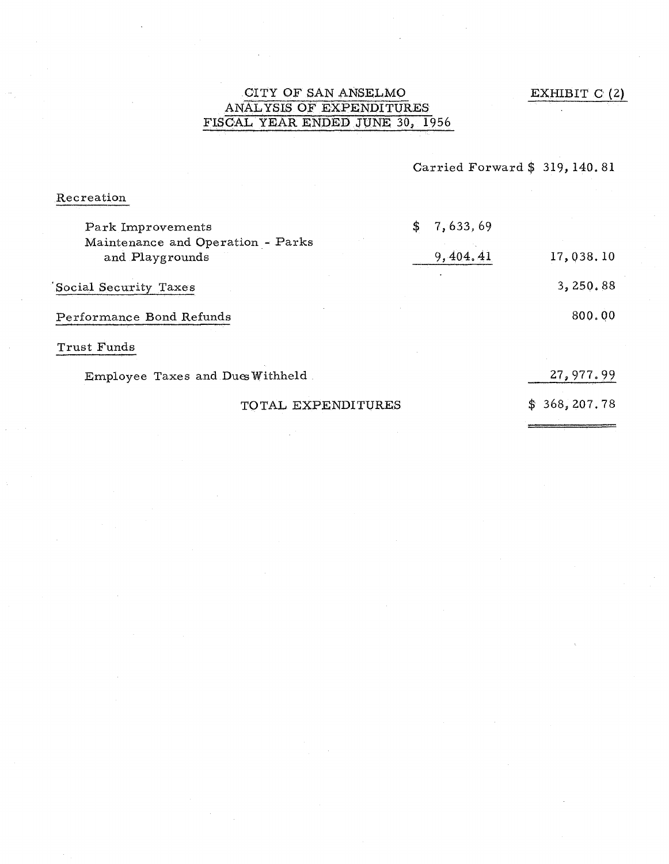EXHIBIT G (2)

## CITY OF SAN ANSELMO ANAL YSIS OF EXPENDITURES FISCAL YEAR ENDED JUNE 30, 1956

Carried Forward \$ 319, 140.81

Recreation

| Park Improvements                                    | \$7,633,69 |                   |
|------------------------------------------------------|------------|-------------------|
| Maintenance and Operation - Parks<br>and Playgrounds | 9,404.41   | 17,038.10         |
| Social Security Taxes                                |            | 3,250.88          |
| Performance Bond Refunds                             |            | 800.00            |
| Trust Funds                                          |            |                   |
| Employee Taxes and Dues Withheld                     |            | 27,977.99         |
| TOTAL EXPENDITURES                                   |            | 368, 207.78<br>S. |